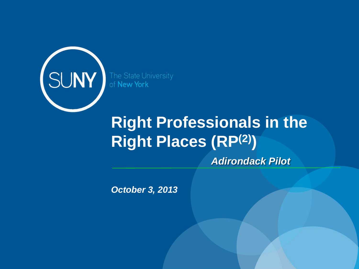

# **Right Professionals in the Right Places (RP(2))**

*Adirondack Pilot*

*October 3, 2013*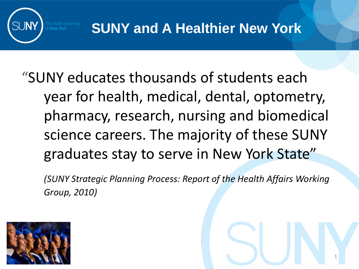

## "SUNY educates thousands of students each year for health, medical, dental, optometry, pharmacy, research, nursing and biomedical science careers. The majority of these SUNY graduates stay to serve in New York State"

*(SUNY Strategic Planning Process: Report of the Health Affairs Working Group, 2010)*

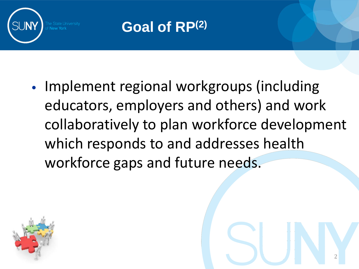

### **Goal of RP(2)**

• Implement regional workgroups (including educators, employers and others) and work collaboratively to plan workforce development which responds to and addresses health workforce gaps and future needs.

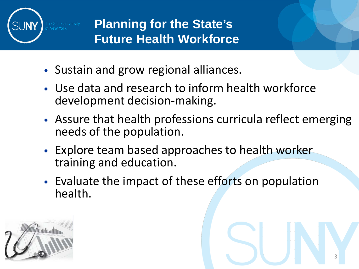

#### **Planning for the State's Future Health Workforce**

- Sustain and grow regional alliances.
- Use data and research to inform health workforce development decision-making.
- Assure that health professions curricula reflect emerging needs of the population.

- Explore team based approaches to health worker training and education.
- Evaluate the impact of these efforts on population health.

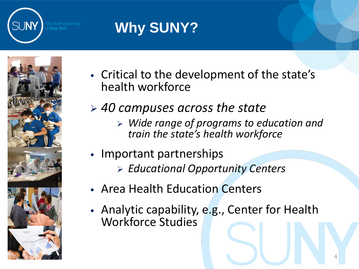

### **Why SUNY?**



- Critical to the development of the state's health workforce
- *40 campuses across the state*
	- *Wide range of programs to education and train the state's health workforce*
- Important partnerships
	- *Educational Opportunity Centers*
- Area Health Education Centers
- Analytic capability, e.g., Center for Health Workforce Studies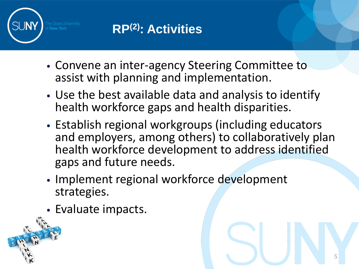

#### **RP(2): Activities**

- Convene an inter-agency Steering Committee to assist with planning and implementation.
- Use the best available data and analysis to identify health workforce gaps and health disparities.
- Establish regional workgroups (including educators and employers, among others) to collaboratively plan health workforce development to address identified gaps and future needs.

- Implement regional workforce development strategies.
- Evaluate impacts.